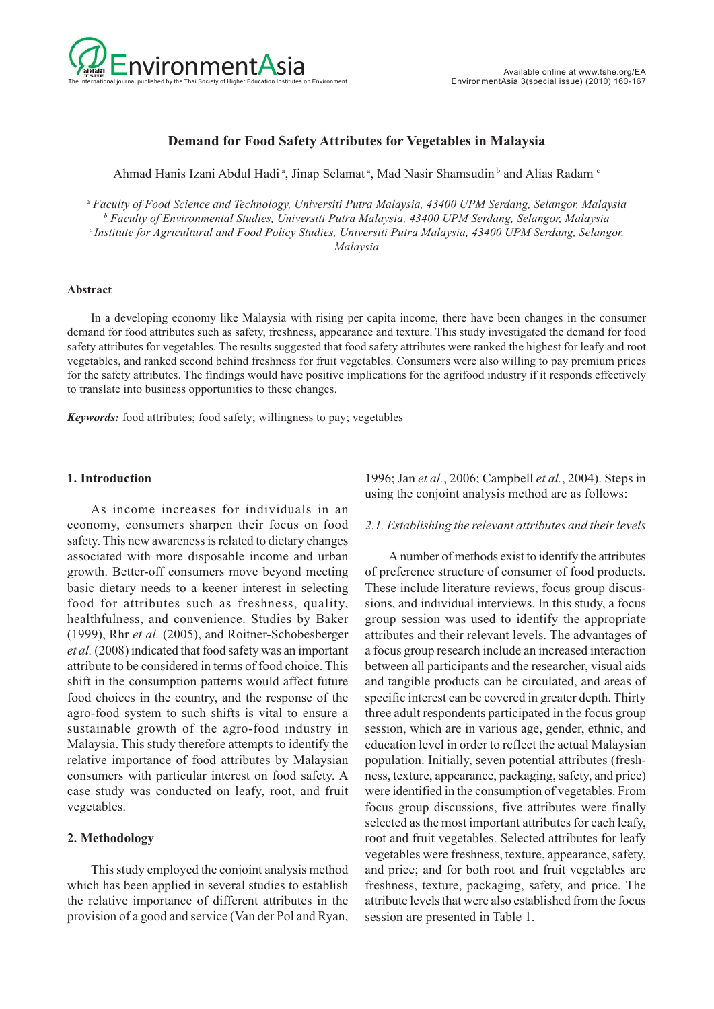

## **Demand for Food Safety Attributes for Vegetables in Malaysia**

Ahmad Hanis Izani Abdul Hadi<sup>a</sup>, Jinap Selamat<sup>a</sup>, Mad Nasir Shamsudin<sup>b</sup> and Alias Radam<sup>c</sup>

<sup>a</sup> *Faculty of Food Science and Technology, Universiti Putra Malaysia, 43400 UPM Serdang, Selangor, Malaysia b Faculty of Environmental Studies, Universiti Putra Malaysia, 43400 UPM Serdang, Selangor, Malaysia c Institute for Agricultural and Food Policy Studies, Universiti Putra Malaysia, 43400 UPM Serdang, Selangor, Malaysia*

#### **Abstract**

In a developing economy like Malaysia with rising per capita income, there have been changes in the consumer demand for food attributes such as safety, freshness, appearance and texture. This study investigated the demand for food safety attributes for vegetables. The results suggested that food safety attributes were ranked the highest for leafy and root vegetables, and ranked second behind freshness for fruit vegetables. Consumers were also willing to pay premium prices for the safety attributes. The findings would have positive implications for the agrifood industry if it responds effectively to translate into business opportunities to these changes.

*Keywords:* food attributes; food safety; willingness to pay; vegetables

### **1. Introduction**

As income increases for individuals in an economy, consumers sharpen their focus on food safety. This new awareness is related to dietary changes associated with more disposable income and urban growth. Better-off consumers move beyond meeting basic dietary needs to a keener interest in selecting food for attributes such as freshness, quality, healthfulness, and convenience. Studies by Baker (1999), Rhr *et al.* (2005), and Roitner-Schobesberger *et al.* (2008) indicated that food safety was an important attribute to be considered in terms of food choice. This shift in the consumption patterns would affect future food choices in the country, and the response of the agro-food system to such shifts is vital to ensure a sustainable growth of the agro-food industry in Malaysia. This study therefore attempts to identify the relative importance of food attributes by Malaysian consumers with particular interest on food safety. A case study was conducted on leafy, root, and fruit vegetables.

### **2. Methodology**

This study employed the conjoint analysis method which has been applied in several studies to establish the relative importance of different attributes in the provision of a good and service (Van der Pol and Ryan,

1996; Jan *et al.*, 2006; Campbell *et al.*, 2004). Steps in using the conjoint analysis method are as follows:

#### *2.1. Establishing the relevant attributes and their levels*

A number of methods exist to identify the attributes of preference structure of consumer of food products. These include literature reviews, focus group discussions, and individual interviews. In this study, a focus group session was used to identify the appropriate attributes and their relevant levels. The advantages of a focus group research include an increased interaction between all participants and the researcher, visual aids and tangible products can be circulated, and areas of specific interest can be covered in greater depth. Thirty three adult respondents participated in the focus group session, which are in various age, gender, ethnic, and education level in order to reflect the actual Malaysian population. Initially, seven potential attributes (freshness, texture, appearance, packaging, safety, and price) were identified in the consumption of vegetables. From focus group discussions, five attributes were finally selected as the most important attributes for each leafy, root and fruit vegetables. Selected attributes for leafy vegetables were freshness, texture, appearance, safety, and price; and for both root and fruit vegetables are freshness, texture, packaging, safety, and price. The attribute levels that were also established from the focus session are presented in Table 1.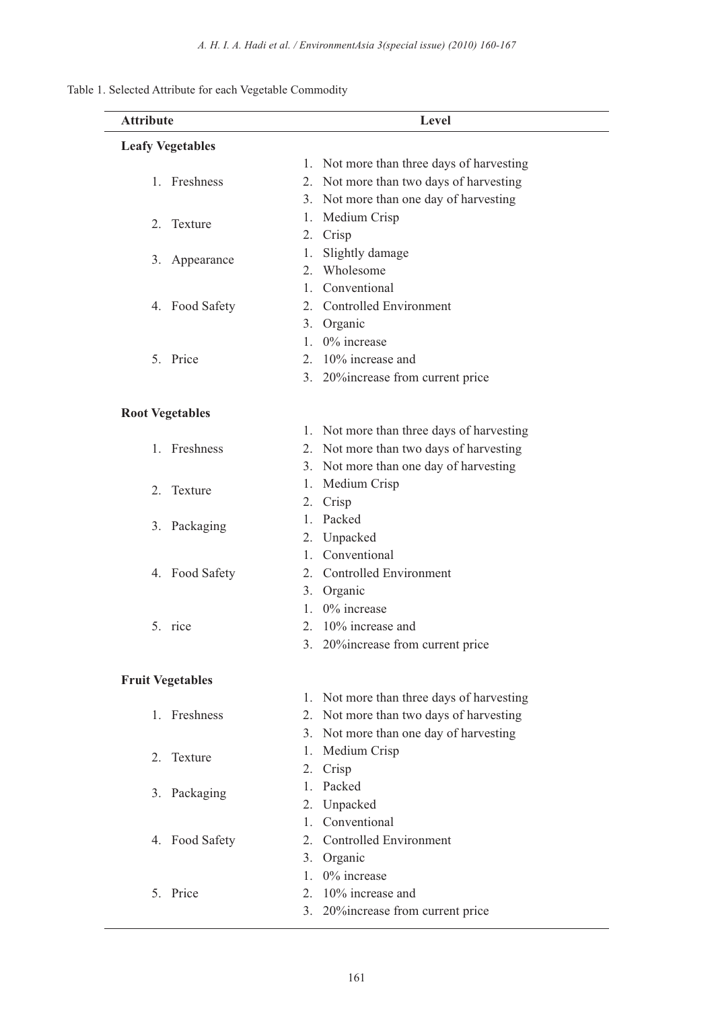| Table 1. Selected Attribute for each Vegetable Commodity |  |  |
|----------------------------------------------------------|--|--|
|----------------------------------------------------------|--|--|

| <b>Attribute</b>        | Level                                        |
|-------------------------|----------------------------------------------|
| <b>Leafy Vegetables</b> |                                              |
|                         | 1. Not more than three days of harvesting    |
| 1. Freshness            | Not more than two days of harvesting<br>2.   |
|                         | 3. Not more than one day of harvesting       |
| 2. Texture              | Medium Crisp<br>1.                           |
|                         | Crisp<br>2.                                  |
| 3. Appearance           | Slightly damage<br>1.                        |
|                         | Wholesome<br>2.                              |
|                         | Conventional<br>1.                           |
| 4. Food Safety          | <b>Controlled Environment</b><br>2.          |
|                         | 3. Organic                                   |
|                         | $0\%$ increase<br>1.                         |
| 5. Price                | 10% increase and<br>2.                       |
|                         | 3. 20% increase from current price           |
| <b>Root Vegetables</b>  |                                              |
|                         | Not more than three days of harvesting<br>Ι. |
| 1. Freshness            | Not more than two days of harvesting<br>2.   |
|                         | 3. Not more than one day of harvesting       |
|                         | Medium Crisp<br>1.                           |
| Texture<br>2.           | Crisp<br>2.                                  |
|                         | Packed<br>1.                                 |
| 3. Packaging            | Unpacked<br>2.                               |
|                         | Conventional<br>1.                           |
| 4. Food Safety          | Controlled Environment<br>2.                 |
|                         | Organic<br>3.                                |
|                         | 0% increase<br>1.                            |
| 5. rice                 | 2. 10% increase and                          |
|                         | 3. 20% increase from current price           |
| <b>Fruit Vegetables</b> |                                              |
|                         | 1. Not more than three days of harvesting    |
| 1. Freshness            | Not more than two days of harvesting<br>2.   |
|                         | 3. Not more than one day of harvesting       |
|                         | Medium Crisp<br>1.                           |
| 2. Texture              | Crisp<br>2.                                  |
|                         | Packed<br>1.                                 |
| 3. Packaging            | Unpacked<br>2.                               |
|                         | Conventional<br>1.                           |
| 4. Food Safety          | <b>Controlled Environment</b><br>2.          |
|                         | 3. Organic                                   |
|                         | 0% increase<br>1.                            |
| 5. Price                | 10% increase and<br>2.                       |
|                         | 3. 20% increase from current price           |
|                         |                                              |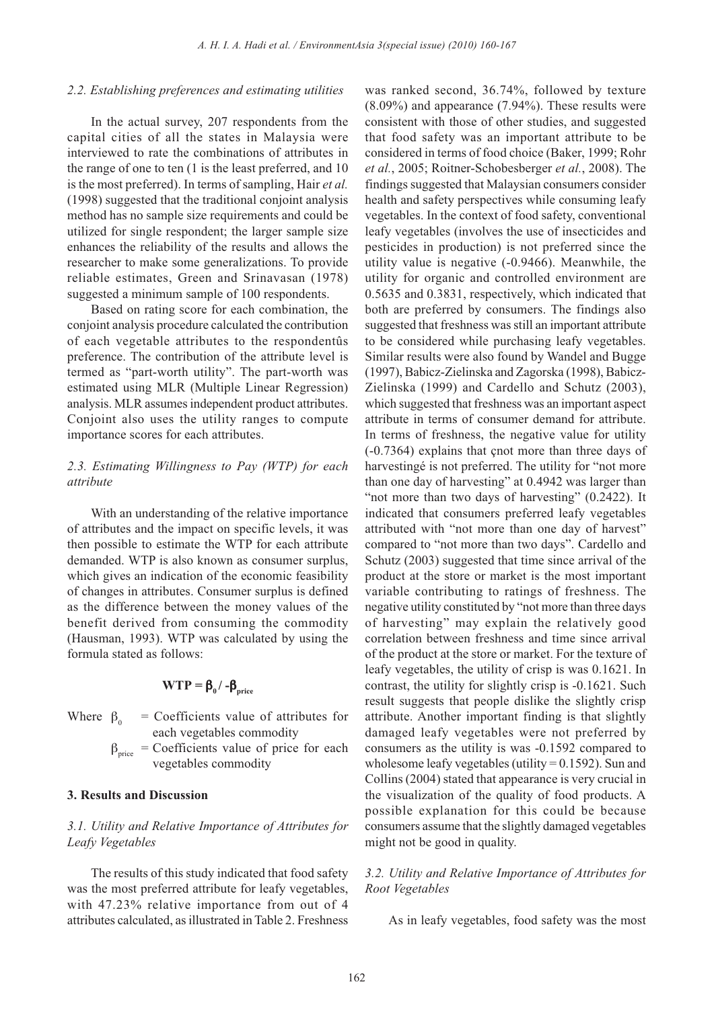#### *2.2. Establishing preferences and estimating utilities*

In the actual survey, 207 respondents from the capital cities of all the states in Malaysia were interviewed to rate the combinations of attributes in the range of one to ten (1 is the least preferred, and 10 is the most preferred). In terms of sampling, Hair *et al.* (1998) suggested that the traditional conjoint analysis method has no sample size requirements and could be utilized for single respondent; the larger sample size enhances the reliability of the results and allows the researcher to make some generalizations. To provide reliable estimates, Green and Srinavasan (1978) suggested a minimum sample of 100 respondents.

Based on rating score for each combination, the conjoint analysis procedure calculated the contribution of each vegetable attributes to the respondentûs preference. The contribution of the attribute level is termed as "part-worth utility". The part-worth was estimated using MLR (Multiple Linear Regression) analysis. MLR assumes independent product attributes. Conjoint also uses the utility ranges to compute importance scores for each attributes.

# *2.3. Estimating Willingness to Pay (WTP) for each attribute*

With an understanding of the relative importance of attributes and the impact on specific levels, it was then possible to estimate the WTP for each attribute demanded. WTP is also known as consumer surplus, which gives an indication of the economic feasibility of changes in attributes. Consumer surplus is defined as the difference between the money values of the benefit derived from consuming the commodity (Hausman, 1993). WTP was calculated by using the formula stated as follows:

$$
WTP = \beta_0 / -\beta_{\text{price}}
$$

Where  $\beta_0$  = Coefficients value of attributes for each vegetables commodity

 $\beta_{\text{price}}$  = Coefficients value of price for each vegetables commodity

## **3. Results and Discussion**

## *3.1. Utility and Relative Importance of Attributes for Leafy Vegetables*

The results of this study indicated that food safety was the most preferred attribute for leafy vegetables, with 47.23% relative importance from out of 4 attributes calculated, as illustrated in Table 2. Freshness was ranked second, 36.74%, followed by texture (8.09%) and appearance (7.94%). These results were consistent with those of other studies, and suggested that food safety was an important attribute to be considered in terms of food choice (Baker, 1999; Rohr *et al.*, 2005; Roitner-Schobesberger *et al.*, 2008). The findings suggested that Malaysian consumers consider health and safety perspectives while consuming leafy vegetables. In the context of food safety, conventional leafy vegetables (involves the use of insecticides and pesticides in production) is not preferred since the utility value is negative (-0.9466). Meanwhile, the utility for organic and controlled environment are 0.5635 and 0.3831, respectively, which indicated that both are preferred by consumers. The findings also suggested that freshness was still an important attribute to be considered while purchasing leafy vegetables. Similar results were also found by Wandel and Bugge (1997), Babicz-Zielinska and Zagorska (1998), Babicz-Zielinska (1999) and Cardello and Schutz (2003), which suggested that freshness was an important aspect attribute in terms of consumer demand for attribute. In terms of freshness, the negative value for utility (-0.7364) explains that çnot more than three days of harvestingé is not preferred. The utility for "not more than one day of harvesting" at 0.4942 was larger than "not more than two days of harvesting" (0.2422). It indicated that consumers preferred leafy vegetables attributed with "not more than one day of harvest" compared to "not more than two days". Cardello and Schutz (2003) suggested that time since arrival of the product at the store or market is the most important variable contributing to ratings of freshness. The negative utility constituted by "not more than three days of harvesting" may explain the relatively good correlation between freshness and time since arrival of the product at the store or market. For the texture of leafy vegetables, the utility of crisp is was 0.1621. In contrast, the utility for slightly crisp is -0.1621. Such result suggests that people dislike the slightly crisp attribute. Another important finding is that slightly damaged leafy vegetables were not preferred by consumers as the utility is was -0.1592 compared to wholesome leafy vegetables (utility  $= 0.1592$ ). Sun and Collins (2004) stated that appearance is very crucial in the visualization of the quality of food products. A possible explanation for this could be because consumers assume that the slightly damaged vegetables might not be good in quality.

## *3.2. Utility and Relative Importance of Attributes for Root Vegetables*

As in leafy vegetables, food safety was the most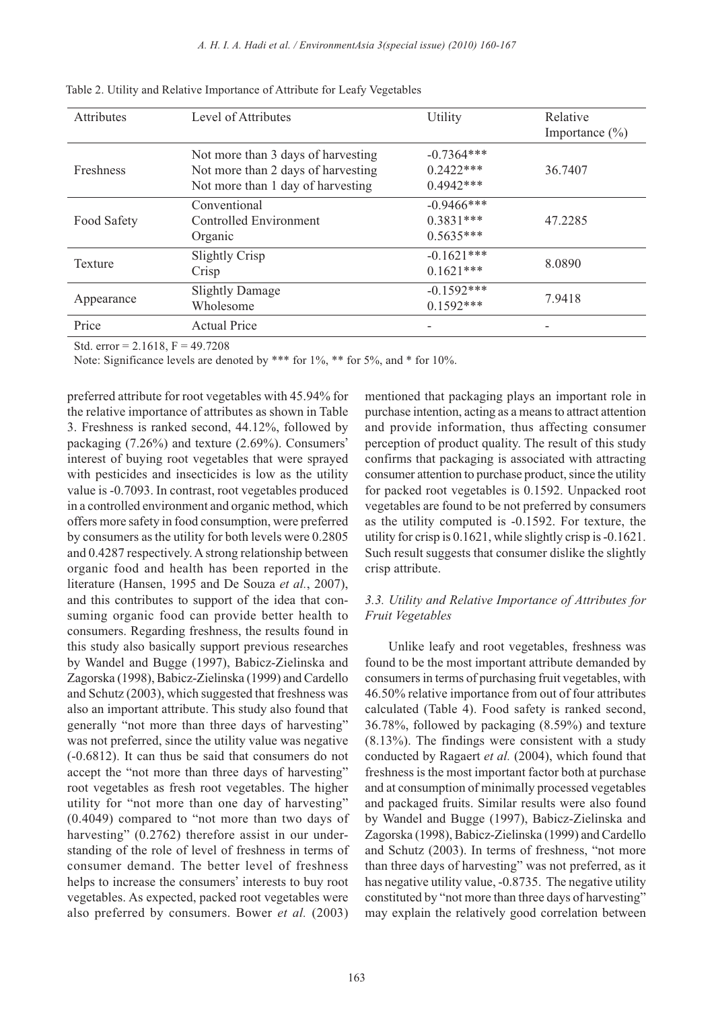| <b>Attributes</b> | Level of Attributes                                                                                           | Utility                                     | Relative<br>Importance $(\% )$ |
|-------------------|---------------------------------------------------------------------------------------------------------------|---------------------------------------------|--------------------------------|
| <b>Freshness</b>  | Not more than 3 days of harvesting<br>Not more than 2 days of harvesting<br>Not more than 1 day of harvesting | $-0.7364***$<br>$0.2422***$<br>$0.4942***$  | 36.7407                        |
| Food Safety       | Conventional<br><b>Controlled Environment</b><br>Organic                                                      | $-0.9466$ ***<br>$0.3831***$<br>$0.5635***$ | 47.2285                        |
| <b>Texture</b>    | <b>Slightly Crisp</b><br>Crisp                                                                                | $-0.1621***$<br>$0.1621***$                 | 8.0890                         |
| Appearance        | <b>Slightly Damage</b><br>Wholesome                                                                           | $-0.1592***$<br>$0.1592***$                 | 7.9418                         |
| Price             | <b>Actual Price</b>                                                                                           | ۰                                           |                                |

Table 2. Utility and Relative Importance of Attribute for Leafy Vegetables

Std. error =  $2.1618$ , F = 49.7208

Note: Significance levels are denoted by \*\*\* for 1%, \*\* for 5%, and \* for 10%.

preferred attribute for root vegetables with 45.94% for the relative importance of attributes as shown in Table 3. Freshness is ranked second, 44.12%, followed by packaging  $(7.26\%)$  and texture  $(2.69\%)$ . Consumers' interest of buying root vegetables that were sprayed with pesticides and insecticides is low as the utility value is -0.7093. In contrast, root vegetables produced in a controlled environment and organic method, which offers more safety in food consumption, were preferred by consumers as the utility for both levels were 0.2805 and 0.4287 respectively. A strong relationship between organic food and health has been reported in the literature (Hansen, 1995 and De Souza *et al.*, 2007), and this contributes to support of the idea that consuming organic food can provide better health to consumers. Regarding freshness, the results found in this study also basically support previous researches by Wandel and Bugge (1997), Babicz-Zielinska and Zagorska (1998), Babicz-Zielinska (1999) and Cardello and Schutz (2003), which suggested that freshness was also an important attribute. This study also found that generally "not more than three days of harvesting" was not preferred, since the utility value was negative (-0.6812). It can thus be said that consumers do not accept the "not more than three days of harvesting" root vegetables as fresh root vegetables. The higher utility for "not more than one day of harvesting" (0.4049) compared to "not more than two days of harvesting" (0.2762) therefore assist in our understanding of the role of level of freshness in terms of consumer demand. The better level of freshness helps to increase the consumers' interests to buy root vegetables. As expected, packed root vegetables were also preferred by consumers. Bower *et al.* (2003)

mentioned that packaging plays an important role in purchase intention, acting as a means to attract attention and provide information, thus affecting consumer perception of product quality. The result of this study confirms that packaging is associated with attracting consumer attention to purchase product, since the utility for packed root vegetables is 0.1592. Unpacked root vegetables are found to be not preferred by consumers as the utility computed is -0.1592. For texture, the utility for crisp is 0.1621, while slightly crisp is -0.1621. Such result suggests that consumer dislike the slightly crisp attribute.

## *3.3. Utility and Relative Importance of Attributes for Fruit Vegetables*

Unlike leafy and root vegetables, freshness was found to be the most important attribute demanded by consumers in terms of purchasing fruit vegetables, with 46.50% relative importance from out of four attributes calculated (Table 4). Food safety is ranked second, 36.78%, followed by packaging (8.59%) and texture (8.13%). The findings were consistent with a study conducted by Ragaert *et al.* (2004), which found that freshness is the most important factor both at purchase and at consumption of minimally processed vegetables and packaged fruits. Similar results were also found by Wandel and Bugge (1997), Babicz-Zielinska and Zagorska (1998), Babicz-Zielinska (1999) and Cardello and Schutz (2003). In terms of freshness, "not more than three days of harvesting" was not preferred, as it has negative utility value, -0.8735. The negative utility constituted by "not more than three days of harvesting" may explain the relatively good correlation between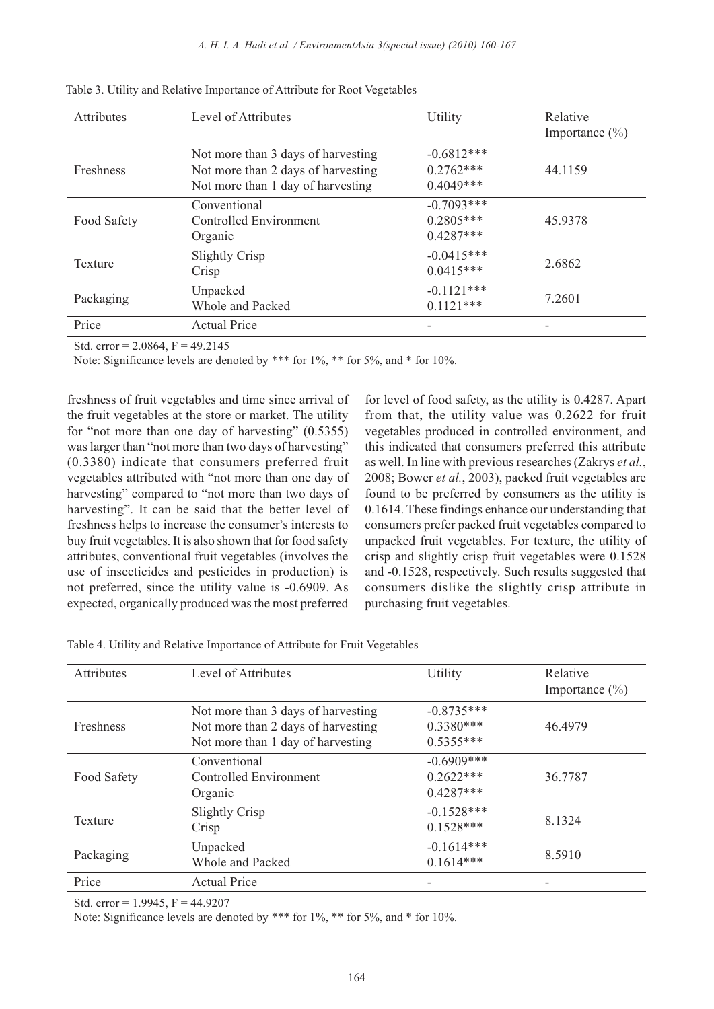| Attributes  | Level of Attributes                                                                                           | Utility                                    | Relative<br>Importance $(\% )$ |
|-------------|---------------------------------------------------------------------------------------------------------------|--------------------------------------------|--------------------------------|
| Freshness   | Not more than 3 days of harvesting<br>Not more than 2 days of harvesting<br>Not more than 1 day of harvesting | $-0.6812***$<br>$0.2762***$<br>$0.4049***$ | 44.1159                        |
| Food Safety | Conventional<br>Controlled Environment<br>Organic                                                             | $-0.7093***$<br>$0.2805***$<br>$0.4287***$ | 45.9378                        |
| Texture     | <b>Slightly Crisp</b><br>Crisp                                                                                | $-0.0415***$<br>$0.0415***$                | 2.6862                         |
| Packaging   | Unpacked<br>Whole and Packed                                                                                  | $-0.1121***$<br>$0.1121***$                | 7.2601                         |
| Price       | <b>Actual Price</b>                                                                                           |                                            |                                |

Table 3. Utility and Relative Importance of Attribute for Root Vegetables

Std. error =  $2.0864$ , F =  $49.2145$ 

Note: Significance levels are denoted by \*\*\* for 1%, \*\* for 5%, and \* for 10%.

freshness of fruit vegetables and time since arrival of the fruit vegetables at the store or market. The utility for "not more than one day of harvesting" (0.5355) was larger than "not more than two days of harvesting" (0.3380) indicate that consumers preferred fruit vegetables attributed with "not more than one day of harvesting" compared to "not more than two days of harvesting". It can be said that the better level of freshness helps to increase the consumer's interests to buy fruit vegetables. It is also shown that for food safety attributes, conventional fruit vegetables (involves the use of insecticides and pesticides in production) is not preferred, since the utility value is -0.6909. As expected, organically produced was the most preferred

for level of food safety, as the utility is 0.4287. Apart from that, the utility value was 0.2622 for fruit vegetables produced in controlled environment, and this indicated that consumers preferred this attribute as well. In line with previous researches (Zakrys *et al.*, 2008; Bower *et al.*, 2003), packed fruit vegetables are found to be preferred by consumers as the utility is 0.1614. These findings enhance our understanding that consumers prefer packed fruit vegetables compared to unpacked fruit vegetables. For texture, the utility of crisp and slightly crisp fruit vegetables were 0.1528 and -0.1528, respectively. Such results suggested that consumers dislike the slightly crisp attribute in purchasing fruit vegetables.

| Attributes       | Level of Attributes                                                                                           | Utility                                     | Relative<br>Importance $(\% )$ |
|------------------|---------------------------------------------------------------------------------------------------------------|---------------------------------------------|--------------------------------|
| <b>Freshness</b> | Not more than 3 days of harvesting<br>Not more than 2 days of harvesting<br>Not more than 1 day of harvesting | $-0.8735***$<br>$0.3380***$<br>$0.5355***$  | 46.4979                        |
| Food Safety      | Conventional<br>Controlled Environment<br>Organic                                                             | $-0.6909$ ***<br>$0.2622***$<br>$0.4287***$ | 36.7787                        |
| <b>Texture</b>   | <b>Slightly Crisp</b><br>Crisp                                                                                | $-0.1528***$<br>$0.1528***$                 | 8.1324                         |
| Packaging        | Unpacked<br>Whole and Packed                                                                                  | $-0.1614***$<br>$0.1614***$                 | 8.5910                         |
| Price            | <b>Actual Price</b>                                                                                           |                                             |                                |

Table 4. Utility and Relative Importance of Attribute for Fruit Vegetables

Std. error =  $1.9945$ , F =  $44.9207$ 

Note: Significance levels are denoted by \*\*\* for 1%, \*\* for 5%, and \* for 10%.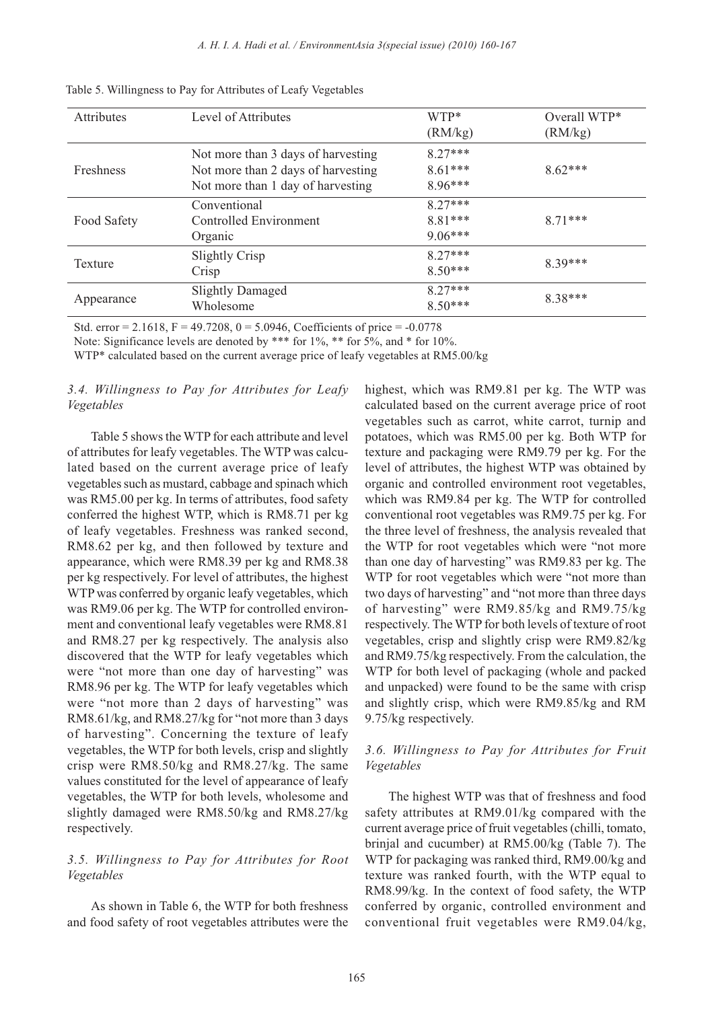| <b>Attributes</b> | Level of Attributes                                                                                           | WTP*<br>(RM/kg)                     | Overall WTP*<br>(RM/kg) |
|-------------------|---------------------------------------------------------------------------------------------------------------|-------------------------------------|-------------------------|
| Freshness         | Not more than 3 days of harvesting<br>Not more than 2 days of harvesting<br>Not more than 1 day of harvesting | $8.27***$<br>$8.61***$<br>$8.96***$ | $8.62***$               |
| Food Safety       | Conventional<br>Controlled Environment<br>Organic                                                             | $8.27***$<br>8.81***<br>$9.06***$   | $8.71***$               |
| Texture           | <b>Slightly Crisp</b><br>Crisp                                                                                | $8.27***$<br>$8.50***$              | $8.39***$               |
| Appearance        | <b>Slightly Damaged</b><br>Wholesome                                                                          | $8.27***$<br>$8.50***$              | 8.38***                 |

Table 5. Willingness to Pay for Attributes of Leafy Vegetables

Std. error = 2.1618, F = 49.7208, 0 = 5.0946, Coefficients of price =  $-0.0778$ 

Note: Significance levels are denoted by \*\*\* for 1%, \*\* for 5%, and \* for 10%.

WTP\* calculated based on the current average price of leafy vegetables at RM5.00/kg

## *3.4. Willingness to Pay for Attributes for Leafy Vegetables*

Table 5 shows the WTP for each attribute and level of attributes for leafy vegetables. The WTP was calculated based on the current average price of leafy vegetables such as mustard, cabbage and spinach which was RM5.00 per kg. In terms of attributes, food safety conferred the highest WTP, which is RM8.71 per kg of leafy vegetables. Freshness was ranked second, RM8.62 per kg, and then followed by texture and appearance, which were RM8.39 per kg and RM8.38 per kg respectively. For level of attributes, the highest WTP was conferred by organic leafy vegetables, which was RM9.06 per kg. The WTP for controlled environment and conventional leafy vegetables were RM8.81 and RM8.27 per kg respectively. The analysis also discovered that the WTP for leafy vegetables which were "not more than one day of harvesting" was RM8.96 per kg. The WTP for leafy vegetables which were "not more than 2 days of harvesting" was RM8.61/kg, and RM8.27/kg for "not more than 3 days of harvesting". Concerning the texture of leafy vegetables, the WTP for both levels, crisp and slightly crisp were RM8.50/kg and RM8.27/kg. The same values constituted for the level of appearance of leafy vegetables, the WTP for both levels, wholesome and slightly damaged were RM8.50/kg and RM8.27/kg respectively.

## *3.5. Willingness to Pay for Attributes for Root Vegetables*

As shown in Table 6, the WTP for both freshness and food safety of root vegetables attributes were the highest, which was RM9.81 per kg. The WTP was calculated based on the current average price of root vegetables such as carrot, white carrot, turnip and potatoes, which was RM5.00 per kg. Both WTP for texture and packaging were RM9.79 per kg. For the level of attributes, the highest WTP was obtained by organic and controlled environment root vegetables, which was RM9.84 per kg. The WTP for controlled conventional root vegetables was RM9.75 per kg. For the three level of freshness, the analysis revealed that the WTP for root vegetables which were "not more than one day of harvesting" was RM9.83 per kg. The WTP for root vegetables which were "not more than two days of harvesting" and "not more than three days of harvesting" were RM9.85/kg and RM9.75/kg respectively. The WTP for both levels of texture of root vegetables, crisp and slightly crisp were RM9.82/kg and RM9.75/kg respectively. From the calculation, the WTP for both level of packaging (whole and packed and unpacked) were found to be the same with crisp and slightly crisp, which were RM9.85/kg and RM 9.75/kg respectively.

## *3.6. Willingness to Pay for Attributes for Fruit Vegetables*

The highest WTP was that of freshness and food safety attributes at RM9.01/kg compared with the current average price of fruit vegetables (chilli, tomato, brinjal and cucumber) at RM5.00/kg (Table 7). The WTP for packaging was ranked third, RM9.00/kg and texture was ranked fourth, with the WTP equal to RM8.99/kg. In the context of food safety, the WTP conferred by organic, controlled environment and conventional fruit vegetables were RM9.04/kg,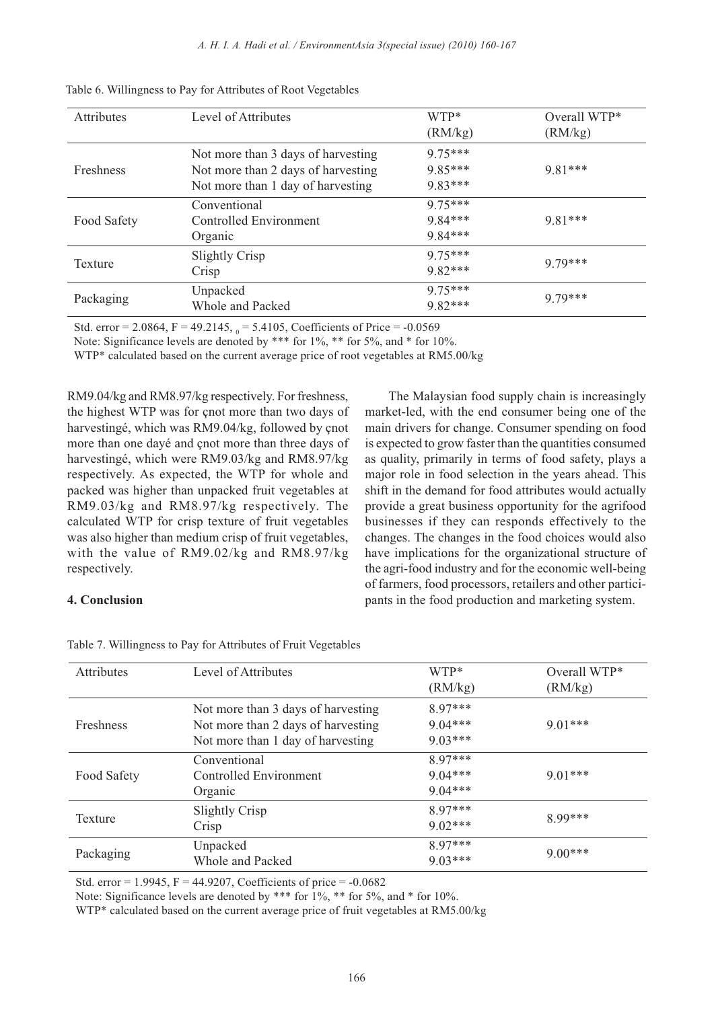| <b>Attributes</b> | Level of Attributes                                                                                           | WTP*<br>(RM/kg)                  | Overall WTP*<br>(RM/kg) |
|-------------------|---------------------------------------------------------------------------------------------------------------|----------------------------------|-------------------------|
| Freshness         | Not more than 3 days of harvesting<br>Not more than 2 days of harvesting<br>Not more than 1 day of harvesting | $975***$<br>9.85***<br>$983***$  | $9.81***$               |
| Food Safety       | Conventional<br>Controlled Environment<br>Organic                                                             | $975***$<br>9.84***<br>$9.84***$ | $9.81***$               |
| Texture           | Slightly Crisp<br>Crisp                                                                                       | $975***$<br>$9.82***$            | $979***$                |
| Packaging         | Unpacked<br><b>Whole and Packed</b>                                                                           | $975***$<br>$9.82***$            | $979***$                |

|  | Table 6. Willingness to Pay for Attributes of Root Vegetables |  |  |  |  |
|--|---------------------------------------------------------------|--|--|--|--|
|--|---------------------------------------------------------------|--|--|--|--|

Std. error = 2.0864, F = 49.2145,  $_0$  = 5.4105, Coefficients of Price = -0.0569

Note: Significance levels are denoted by \*\*\* for 1%, \*\* for 5%, and \* for 10%.

WTP\* calculated based on the current average price of root vegetables at RM5.00/kg

RM9.04/kg and RM8.97/kg respectively. For freshness, the highest WTP was for çnot more than two days of harvestingé, which was RM9.04/kg, followed by çnot more than one dayé and çnot more than three days of harvestingé, which were RM9.03/kg and RM8.97/kg respectively. As expected, the WTP for whole and packed was higher than unpacked fruit vegetables at RM9.03/kg and RM8.97/kg respectively. The calculated WTP for crisp texture of fruit vegetables was also higher than medium crisp of fruit vegetables, with the value of RM9.02/kg and RM8.97/kg respectively.

The Malaysian food supply chain is increasingly market-led, with the end consumer being one of the main drivers for change. Consumer spending on food is expected to grow faster than the quantities consumed as quality, primarily in terms of food safety, plays a major role in food selection in the years ahead. This shift in the demand for food attributes would actually provide a great business opportunity for the agrifood businesses if they can responds effectively to the changes. The changes in the food choices would also have implications for the organizational structure of the agri-food industry and for the economic well-being of farmers, food processors, retailers and other participants in the food production and marketing system.

## **4. Conclusion**

| <b>Attributes</b> | Level of Attributes                | WTP*      | Overall WTP* |  |
|-------------------|------------------------------------|-----------|--------------|--|
|                   |                                    | (RM/kg)   | (RM/kg)      |  |
|                   | Not more than 3 days of harvesting | 8 97***   |              |  |
| <b>Freshness</b>  | Not more than 2 days of harvesting | $9.04***$ | $9.01***$    |  |
|                   | Not more than 1 day of harvesting  | $9.03***$ |              |  |
|                   | Conventional                       | 8 97***   |              |  |
| Food Safety       | Controlled Environment             | $9.04***$ | $9.01***$    |  |
|                   | Organic                            | $9.04***$ |              |  |
| Texture           | Slightly Crisp                     | $897***$  | $899***$     |  |
|                   | Crisp                              | $9.02***$ |              |  |
| Packaging         | Unpacked                           | 8 97***   |              |  |
|                   | Whole and Packed                   | $9.03***$ | $9.00***$    |  |

Table 7. Willingness to Pay for Attributes of Fruit Vegetables

Std. error =  $1.9945$ , F =  $44.9207$ , Coefficients of price =  $-0.0682$ 

Note: Significance levels are denoted by \*\*\* for 1%, \*\* for 5%, and \* for 10%.

WTP\* calculated based on the current average price of fruit vegetables at RM5.00/kg